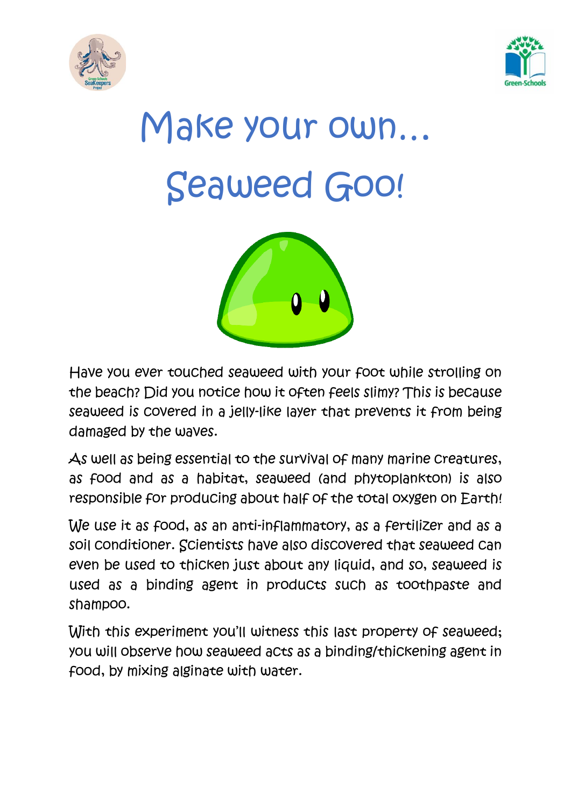



# Make your own… Seaweed Goo!



Have you ever touched seaweed with your foot while strolling on the beach? Did you notice how it often feels slimy? This is because seaweed is covered in a jelly-like layer that prevents it from being damaged by the waves.

As well as being essential to the survival of many marine creatures, as food and as a habitat, seaweed (and phytoplankton) is also responsible for producing about half of the total oxygen on Earth!

We use it as food, as an anti-inflammatory, as a fertilizer and as a soil conditioner. Scientists have also discovered that seaweed can even be used to thicken just about any liquid, and so, seaweed is used as a binding agent in products such as toothpaste and shampoo.

With this experiment you'll witness this last property of seaweed; you will observe how seaweed acts as a binding/thickening agent in food, by mixing alginate with water.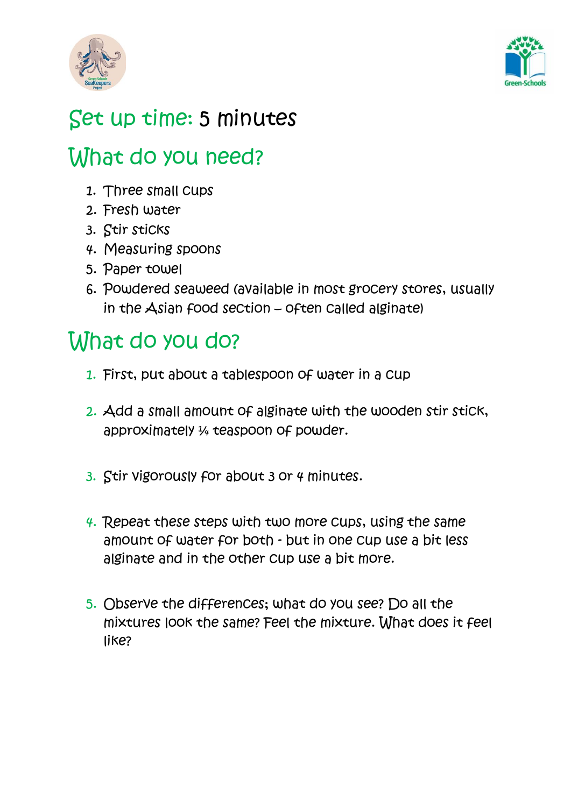



### Set up time: 5 minutes

### What do you need?

- 1. Three small cups
- 2. Fresh water
- 3. Stir sticks
- 4. Measuring spoons
- 5. Paper towel
- 6. Powdered seaweed (available in most grocery stores, usually in the Asian food section – often called alginate)

## What do you do?

- 1. First, put about a tablespoon of water in a cup
- 2. Add a small amount of alginate with the wooden stir stick, approximately ¼ teaspoon of powder.
- 3. Stir vigorously for about 3 or 4 minutes.
- 4. Repeat these steps with two more cups, using the same amount of water for both - but in one cup use a bit less alginate and in the other cup use a bit more.
- 5. Observe the differences; what do you see? Do all the mixtures look the same? Feel the mixture. What does it feel like?